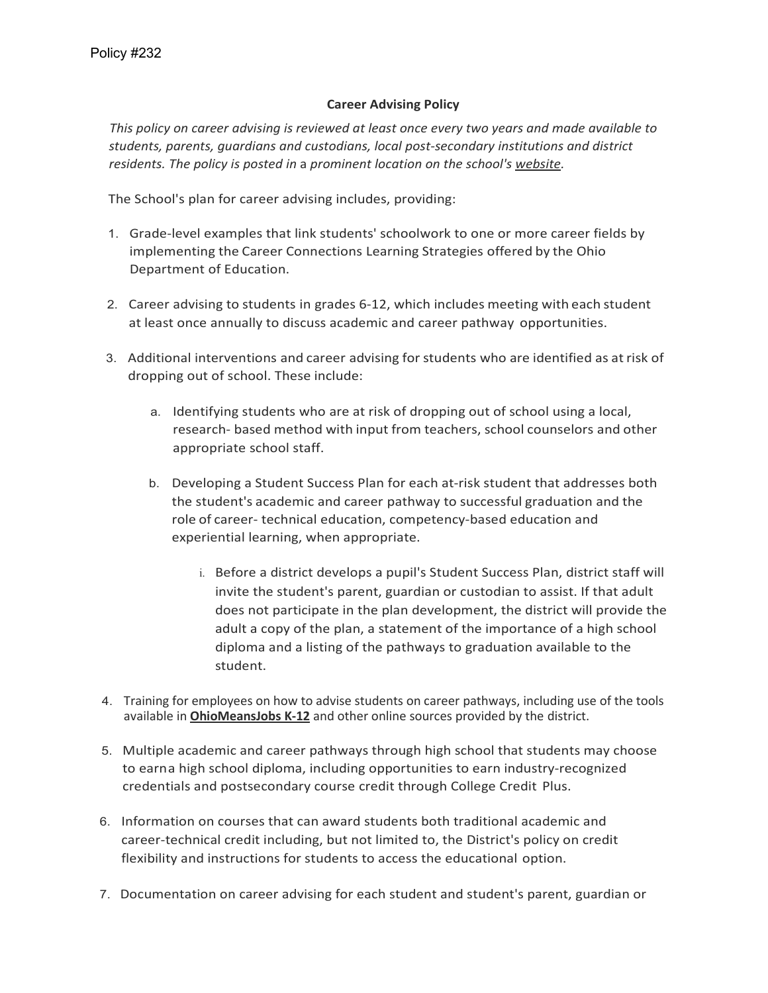## **Career Advising Policy**

*This policy on career advising is reviewed at least once every two years and made available to students, parents, guardians and custodians, local post-secondary institutions and district residents. The policy is posted in* a *prominent location on the school's website.*

The School's plan for career advising includes, providing:

- 1. Grade-level examples that link students' schoolwork to one or more career fields by implementing the Career Connections Learning Strategies offered by the Ohio Department of Education.
- 2. Career advising to students in grades 6-12, which includes meeting with each student at least once annually to discuss academic and career pathway opportunities.
- 3. Additional interventions and career advising for students who are identified as at risk of dropping out of school. These include:
	- a. Identifying students who are at risk of dropping out of school using a local, research- based method with input from teachers, school counselors and other appropriate school staff.
	- b. Developing a Student Success Plan for each at-risk student that addresses both the student's academic and career pathway to successful graduation and the role of career- technical education, competency-based education and experiential learning, when appropriate.
		- i. Before a district develops a pupil's Student Success Plan, district staff will invite the student's parent, guardian or custodian to assist. If that adult does not participate in the plan development, the district will provide the adult a copy of the plan, a statement of the importance of a high school diploma and a listing of the pathways to graduation available to the student.
- 4. Training for employees on how to advise students on career pathways, including use of the tools available in **OhioMeansJobs K-12** and other online sources provided by the district.
- 5. Multiple academic and career pathways through high school that students may choose to earna high school diploma, including opportunities to earn industry-recognized credentials and postsecondary course credit through College Credit Plus.
- 6. Information on courses that can award students both traditional academic and career-technical credit including, but not limited to, the District's policy on credit flexibility and instructions for students to access the educational option.
- 7. Documentation on career advising for each student and student's parent, guardian or